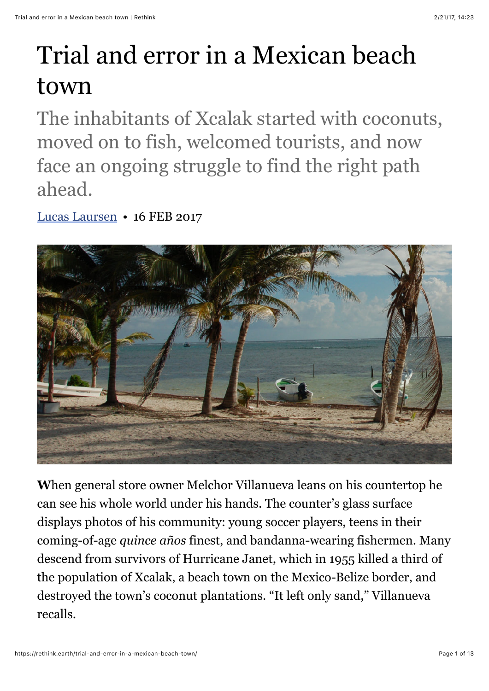## Trial and error in a Mexican beach town

The inhabitants of Xcalak started with coconuts, moved on to fish, welcomed tourists, and now face an ongoing struggle to find the right path ahead.

[Lucas Laursen](https://rethink.earth/author/lucas-laursen/) • 16 FEB 2017



**W**hen general store owner Melchor Villanueva leans on his countertop he can see his whole world under his hands. The counter's glass surface displays photos of his community: young soccer players, teens in their coming-of-age *quince años* finest, and bandanna-wearing fishermen. Many descend from survivors of Hurricane Janet, which in 1955 killed a third of the population of Xcalak, a beach town on the Mexico-Belize border, and destroyed the town's coconut plantations. "It left only sand," Villanueva recalls.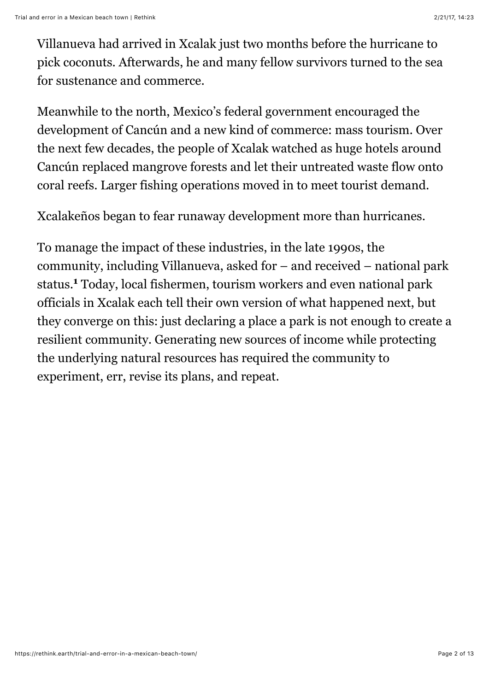Villanueva had arrived in Xcalak just two months before the hurricane to pick coconuts. Afterwards, he and many fellow survivors turned to the sea for sustenance and commerce.

Meanwhile to the north, Mexico's federal government encouraged the development of Cancún and a new kind of commerce: mass tourism. Over the next few decades, the people of Xcalak watched as huge hotels around Cancún replaced mangrove forests and let their untreated waste flow onto coral reefs. Larger fishing operations moved in to meet tourist demand.

Xcalakeños began to fear runaway development more than hurricanes.

To manage the impact of these industries, in the late 1990s, the community, including Villanueva, asked for – and received – national park status.**<sup>1</sup>** Today, local fishermen, tourism workers and even national park officials in Xcalak each tell their own version of what happened next, but they converge on this: just declaring a place a park is not enough to create a resilient community. Generating new sources of income while protecting the underlying natural resources has required the community to experiment, err, revise its plans, and repeat.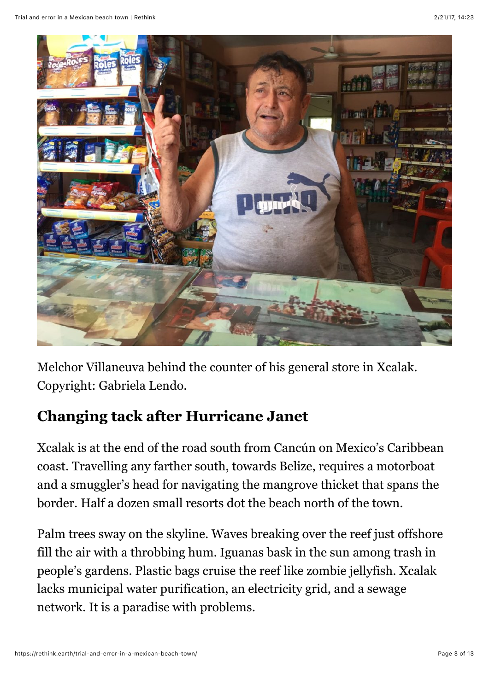

Melchor Villaneuva behind the counter of his general store in Xcalak. Copyright: Gabriela Lendo.

## **Changing tack after Hurricane Janet**

Xcalak is at the end of the road south from Cancún on Mexico's Caribbean coast. Travelling any farther south, towards Belize, requires a motorboat and a smuggler's head for navigating the mangrove thicket that spans the border. Half a dozen small resorts dot the beach north of the town.

Palm trees sway on the skyline. Waves breaking over the reef just offshore fill the air with a throbbing hum. Iguanas bask in the sun among trash in people's gardens. Plastic bags cruise the reef like zombie jellyfish. Xcalak lacks municipal water purification, an electricity grid, and a sewage network. It is a paradise with problems.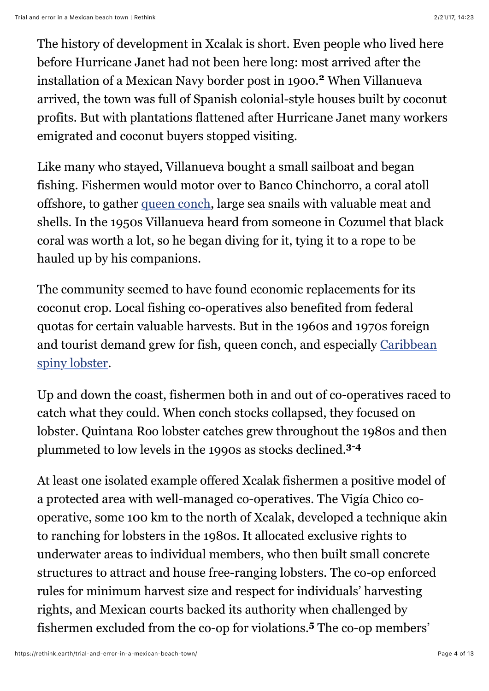The history of development in Xcalak is short. Even people who lived here before Hurricane Janet had not been here long: most arrived after the installation of a Mexican Navy border post in 1900.**<sup>2</sup>** When Villanueva arrived, the town was full of Spanish colonial-style houses built by coconut profits. But with plantations flattened after Hurricane Janet many workers emigrated and coconut buyers stopped visiting.

Like many who stayed, Villanueva bought a small sailboat and began fishing. Fishermen would motor over to Banco Chinchorro, a coral atoll offshore, to gather [queen conch](https://cites.org/eng/prog/queen_conch), large sea snails with valuable meat and shells. In the 1950s Villanueva heard from someone in Cozumel that black coral was worth a lot, so he began diving for it, tying it to a rope to be hauled up by his companions.

The community seemed to have found economic replacements for its coconut crop. Local fishing co-operatives also benefited from federal quotas for certain valuable harvests. But in the 1960s and 1970s foreign [and tourist demand grew for fish, queen conch, and especially Caribbean](http://www.iucnredlist.org/details/169976/0) spiny lobster.

Up and down the coast, fishermen both in and out of co-operatives raced to catch what they could. When conch stocks collapsed, they focused on lobster. Quintana Roo lobster catches grew throughout the 1980s and then plummeted to low levels in the 1990s as stocks declined.**3-4**

At least one isolated example offered Xcalak fishermen a positive model of a protected area with well-managed co-operatives. The Vigía Chico cooperative, some 100 km to the north of Xcalak, developed a technique akin to ranching for lobsters in the 1980s. It allocated exclusive rights to underwater areas to individual members, who then built small concrete structures to attract and house free-ranging lobsters. The co-op enforced rules for minimum harvest size and respect for individuals' harvesting rights, and Mexican courts backed its authority when challenged by fishermen excluded from the co-op for violations.**<sup>5</sup>** The co-op members'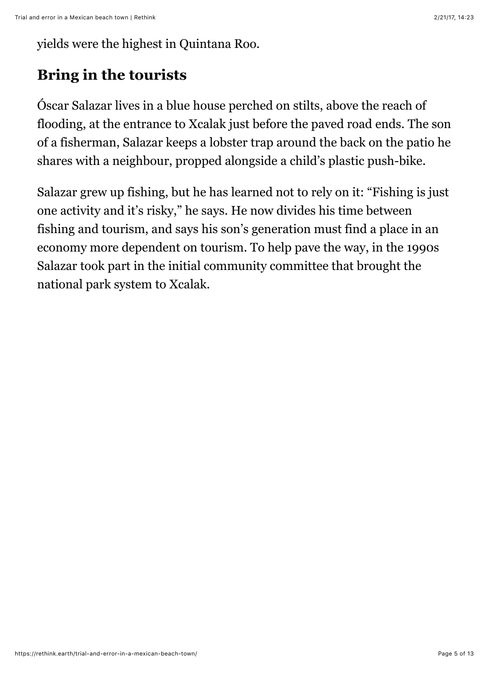yields were the highest in Quintana Roo.

## **Bring in the tourists**

Óscar Salazar lives in a blue house perched on stilts, above the reach of flooding, at the entrance to Xcalak just before the paved road ends. The son of a fisherman, Salazar keeps a lobster trap around the back on the patio he shares with a neighbour, propped alongside a child's plastic push-bike.

Salazar grew up fishing, but he has learned not to rely on it: "Fishing is just one activity and it's risky," he says. He now divides his time between fishing and tourism, and says his son's generation must find a place in an economy more dependent on tourism. To help pave the way, in the 1990s Salazar took part in the initial community committee that brought the national park system to Xcalak.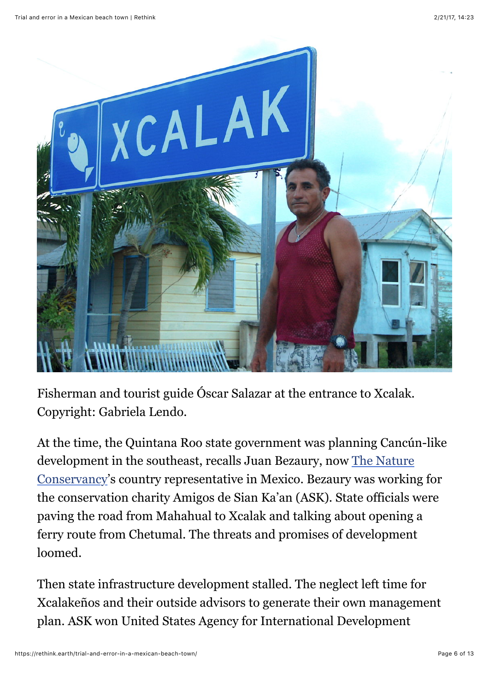

Fisherman and tourist guide Óscar Salazar at the entrance to Xcalak. Copyright: Gabriela Lendo.

At the time, the Quintana Roo state government was planning Cancún-like development in the southeast, recalls Juan Bezaury, now The Nature [Conservancy's country representative in Mexico. Bezaury was workin](http://nature.org/)g for the conservation charity Amigos de Sian Ka'an (ASK). State officials were paving the road from Mahahual to Xcalak and talking about opening a ferry route from Chetumal. The threats and promises of development loomed.

Then state infrastructure development stalled. The neglect left time for Xcalakeños and their outside advisors to generate their own management plan. ASK won United States Agency for International Development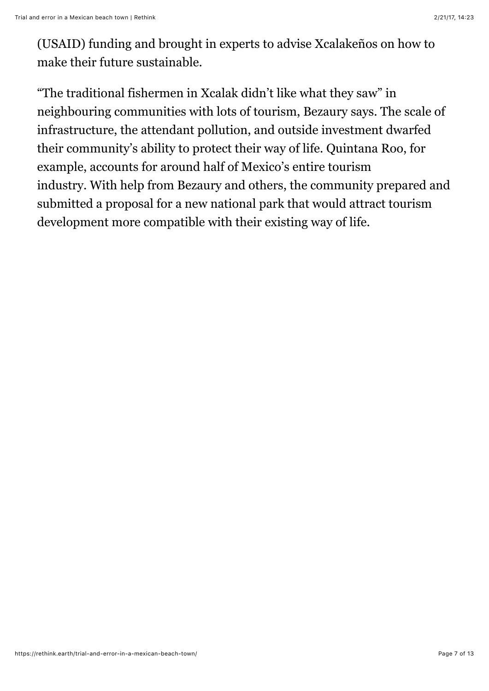(USAID) funding and brought in experts to advise Xcalakeños on how to make their future sustainable.

"The traditional fishermen in Xcalak didn't like what they saw" in neighbouring communities with lots of tourism, Bezaury says. The scale of infrastructure, the attendant pollution, and outside investment dwarfed their community's ability to protect their way of life. Quintana Roo, for example, accounts for around half of Mexico's entire tourism industry. With help from Bezaury and others, the community prepared and submitted a proposal for a new national park that would attract tourism development more compatible with their existing way of life.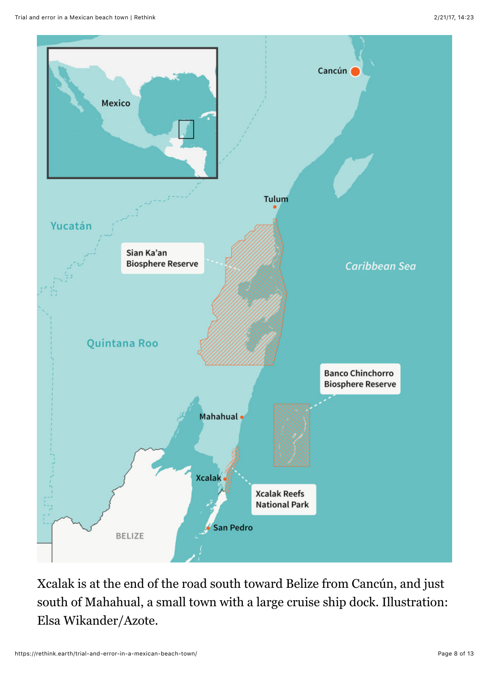

Xcalak is at the end of the road south toward Belize from Cancún, and just south of Mahahual, a small town with a large cruise ship dock. Illustration: Elsa Wikander/Azote.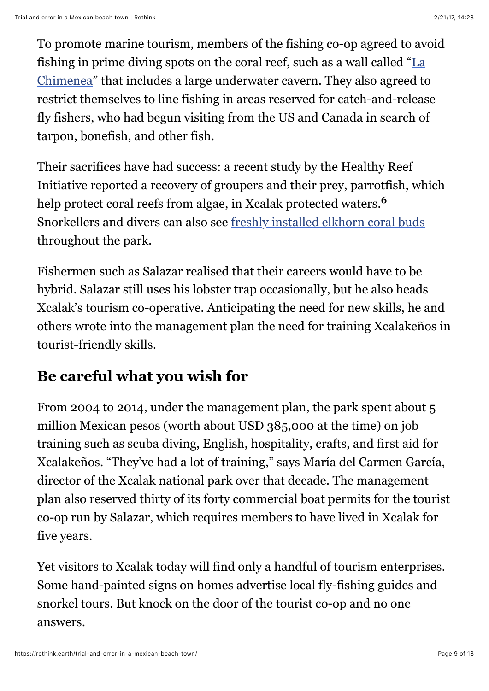To promote marine tourism, members of the fishing co-op agreed to avoid [fishing in prime diving spots on the coral reef, such as a wall called "La](http://www.xtcdivecenter.com/RECREATIONAL_DIVING.html) Chimenea" that includes a large underwater cavern. They also agreed to restrict themselves to line fishing in areas reserved for catch-and-release fly fishers, who had begun visiting from the US and Canada in search of tarpon, bonefish, and other fish.

Their sacrifices have had success: a recent study by the Healthy Reef Initiative reported a recovery of groupers and their prey, parrotfish, which help protect coral reefs from algae, in Xcalak protected waters.**<sup>6</sup>** Snorkellers and divers can also see [freshly installed elkhorn coral buds](https://www.youtube.com/watch?v=WEbBhGrUNr0&feature=share) throughout the park.

Fishermen such as Salazar realised that their careers would have to be hybrid. Salazar still uses his lobster trap occasionally, but he also heads Xcalak's tourism co-operative. Anticipating the need for new skills, he and others wrote into the management plan the need for training Xcalakeños in tourist-friendly skills.

## **Be careful what you wish for**

From 2004 to 2014, under the management plan, the park spent about 5 million Mexican pesos (worth about USD 385,000 at the time) on job training such as scuba diving, English, hospitality, crafts, and first aid for Xcalakeños. "They've had a lot of training," says María del Carmen García, director of the Xcalak national park over that decade. The management plan also reserved thirty of its forty commercial boat permits for the tourist co-op run by Salazar, which requires members to have lived in Xcalak for five years.

Yet visitors to Xcalak today will find only a handful of tourism enterprises. Some hand-painted signs on homes advertise local fly-fishing guides and snorkel tours. But knock on the door of the tourist co-op and no one answers.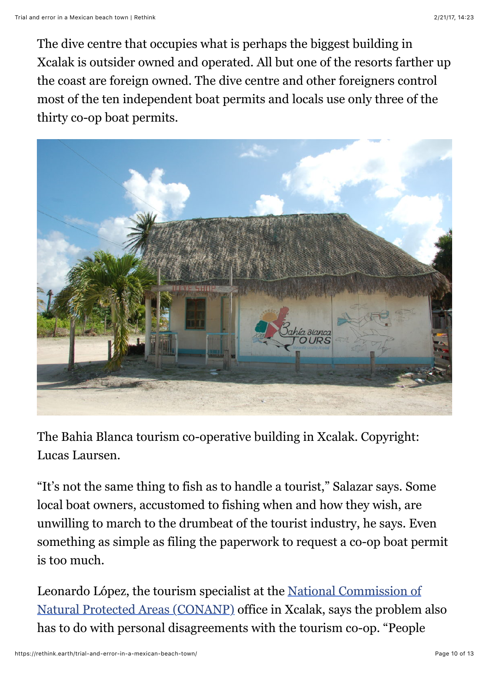The dive centre that occupies what is perhaps the biggest building in Xcalak is outsider owned and operated. All but one of the resorts farther up the coast are foreign owned. The dive centre and other foreigners control most of the ten independent boat permits and locals use only three of the thirty co-op boat permits.



The Bahia Blanca tourism co-operative building in Xcalak. Copyright: Lucas Laursen.

"It's not the same thing to fish as to handle a tourist," Salazar says. Some local boat owners, accustomed to fishing when and how they wish, are unwilling to march to the drumbeat of the tourist industry, he says. Even something as simple as filing the paperwork to request a co-op boat permit is too much.

[Leonardo López, the tourism specialist at the National Commission of](http://www.conanp.gob.mx/english.php) Natural Protected Areas (CONANP) office in Xcalak, says the problem also has to do with personal disagreements with the tourism co-op. "People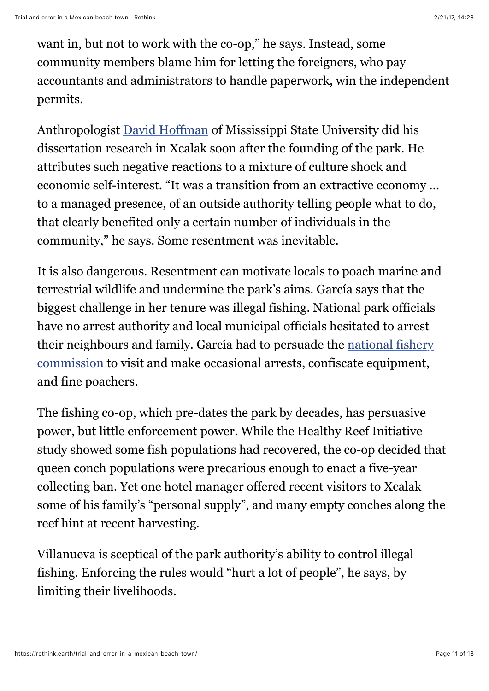want in, but not to work with the co-op," he says. Instead, some community members blame him for letting the foreigners, who pay accountants and administrators to handle paperwork, win the independent permits.

Anthropologist [David Hoffman](http://www.amec.msstate.edu/people/faculty/dr-david-hoffman/) of Mississippi State University did his dissertation research in Xcalak soon after the founding of the park. He attributes such negative reactions to a mixture of culture shock and economic self-interest. "It was a transition from an extractive economy … to a managed presence, of an outside authority telling people what to do, that clearly benefited only a certain number of individuals in the community," he says. Some resentment was inevitable.

It is also dangerous. Resentment can motivate locals to poach marine and terrestrial wildlife and undermine the park's aims. García says that the biggest challenge in her tenure was illegal fishing. National park officials have no arrest authority and local municipal officials hesitated to arrest [their neighbours and family. García had to persuade the national fishery](http://www.gob.mx/conapesca) commission to visit and make occasional arrests, confiscate equipment, and fine poachers.

The fishing co-op, which pre-dates the park by decades, has persuasive power, but little enforcement power. While the Healthy Reef Initiative study showed some fish populations had recovered, the co-op decided that queen conch populations were precarious enough to enact a five-year collecting ban. Yet one hotel manager offered recent visitors to Xcalak some of his family's "personal supply", and many empty conches along the reef hint at recent harvesting.

Villanueva is sceptical of the park authority's ability to control illegal fishing. Enforcing the rules would "hurt a lot of people", he says, by limiting their livelihoods.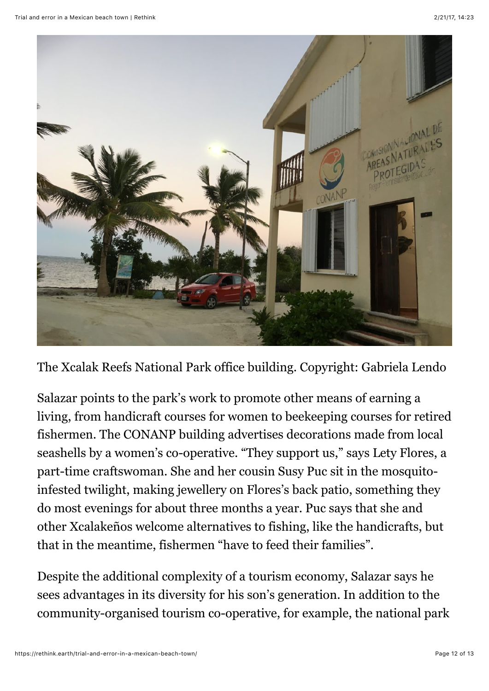

The Xcalak Reefs National Park office building. Copyright: Gabriela Lendo

Salazar points to the park's work to promote other means of earning a living, from handicraft courses for women to beekeeping courses for retired fishermen. The CONANP building advertises decorations made from local seashells by a women's co-operative. "They support us," says Lety Flores, a part-time craftswoman. She and her cousin Susy Puc sit in the mosquitoinfested twilight, making jewellery on Flores's back patio, something they do most evenings for about three months a year. Puc says that she and other Xcalakeños welcome alternatives to fishing, like the handicrafts, but that in the meantime, fishermen "have to feed their families".

Despite the additional complexity of a tourism economy, Salazar says he sees advantages in its diversity for his son's generation. In addition to the community-organised tourism co-operative, for example, the national park